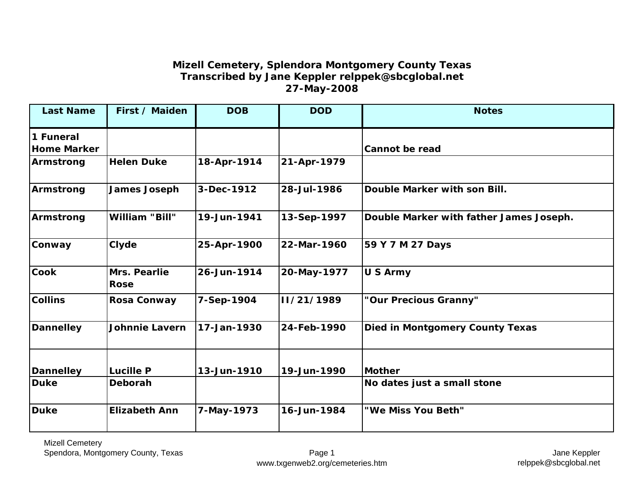## **Mizell Cemetery, Splendora Montgomery County Texas Transcribed by Jane Keppler relppek@sbcglobal.net 27-May-2008**

| <b>Last Name</b>                | First / Maiden              | <b>DOB</b>  | <b>DOD</b>  | <b>Notes</b>                            |
|---------------------------------|-----------------------------|-------------|-------------|-----------------------------------------|
| 1 Funeral<br><b>Home Marker</b> |                             |             |             | <b>Cannot be read</b>                   |
| Armstrong                       | <b>Helen Duke</b>           | 18-Apr-1914 | 21-Apr-1979 |                                         |
| Armstrong                       | <b>James Joseph</b>         | 3-Dec-1912  | 28-Jul-1986 | Double Marker with son Bill.            |
| Armstrong                       | <b>William "Bill"</b>       | 19-Jun-1941 | 13-Sep-1997 | Double Marker with father James Joseph. |
| Conway                          | Clyde                       | 25-Apr-1900 | 22-Mar-1960 | 59 Y 7 M 27 Days                        |
| <b>Cook</b>                     | Mrs. Pearlie<br><b>Rose</b> | 26-Jun-1914 | 20-May-1977 | <b>U S Army</b>                         |
| <b>Collins</b>                  | <b>Rosa Conway</b>          | 7-Sep-1904  | II/21/1989  | "Our Precious Granny"                   |
| <b>Dannelley</b>                | <b>Johnnie Lavern</b>       | 17-Jan-1930 | 24-Feb-1990 | <b>Died in Montgomery County Texas</b>  |
| <b>Dannelley</b>                | <b>Lucille P</b>            | 13-Jun-1910 | 19-Jun-1990 | <b>Mother</b>                           |
| <b>Duke</b>                     | Deborah                     |             |             | No dates just a small stone             |
| <b>Duke</b>                     | <b>Elizabeth Ann</b>        | 7-May-1973  | 16-Jun-1984 | "We Miss You Beth"                      |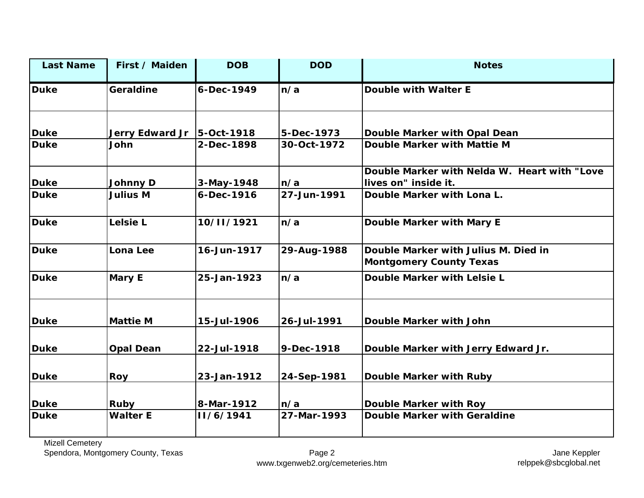| <b>Last Name</b> | First / Maiden               | <b>DOB</b>  | <b>DOD</b>  | <b>Notes</b>                                                           |
|------------------|------------------------------|-------------|-------------|------------------------------------------------------------------------|
| <b>Duke</b>      | Geraldine                    | 6-Dec-1949  | n/a         | <b>Double with Walter E</b>                                            |
| <b>Duke</b>      | Jerry Edward Jr   5-Oct-1918 |             | 5-Dec-1973  | Double Marker with Opal Dean                                           |
| <b>Duke</b>      | John                         | 2-Dec-1898  | 30-Oct-1972 | Double Marker with Mattie M                                            |
| <b>Duke</b>      | <b>Johnny D</b>              | 3-May-1948  | n/a         | Double Marker with Nelda W. Heart with "Love<br>lives on" inside it.   |
| <b>Duke</b>      | <b>Julius M</b>              | 6-Dec-1916  | 27-Jun-1991 | Double Marker with Lona L.                                             |
| <b>Duke</b>      | Lelsie L                     | 10/11/1921  | n/a         | Double Marker with Mary E                                              |
| <b>Duke</b>      | Lona Lee                     | 16-Jun-1917 | 29-Aug-1988 | Double Marker with Julius M. Died in<br><b>Montgomery County Texas</b> |
| <b>Duke</b>      | <b>Mary E</b>                | 25-Jan-1923 | n/a         | Double Marker with Lelsie L                                            |
| <b>Duke</b>      | <b>Mattie M</b>              | 15-Jul-1906 | 26-Jul-1991 | Double Marker with John                                                |
| <b>Duke</b>      | <b>Opal Dean</b>             | 22-Jul-1918 | 9-Dec-1918  | Double Marker with Jerry Edward Jr.                                    |
| <b>Duke</b>      | Roy                          | 23-Jan-1912 | 24-Sep-1981 | <b>Double Marker with Ruby</b>                                         |
| <b>Duke</b>      | <b>Ruby</b>                  | 8-Mar-1912  | n/a         | <b>Double Marker with Roy</b>                                          |
| <b>Duke</b>      | <b>Walter E</b>              | II/6/1941   | 27-Mar-1993 | <b>Double Marker with Geraldine</b>                                    |

Mizell Cemetery

Spendora, Montgomery County, Texas Page 2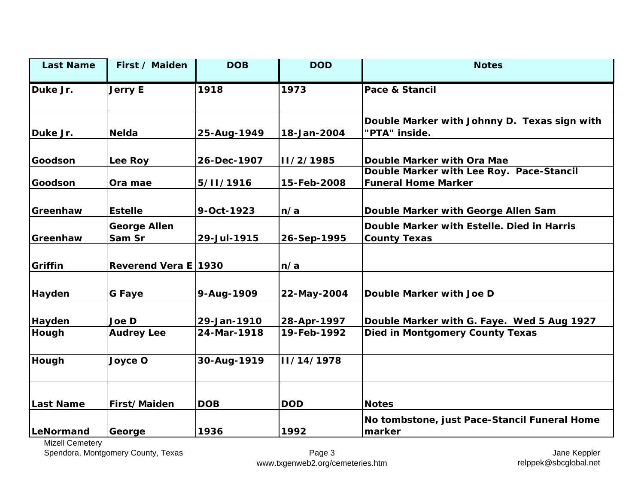| <b>Last Name</b> | First / Maiden                | <b>DOB</b>  | <b>DOD</b>  | <b>Notes</b>                                                           |
|------------------|-------------------------------|-------------|-------------|------------------------------------------------------------------------|
| Duke Jr.         | <b>Jerry E</b>                | 1918        | 1973        | <b>Pace &amp; Stancil</b>                                              |
| Duke Jr.         | <b>Nelda</b>                  | 25-Aug-1949 | 18-Jan-2004 | Double Marker with Johnny D. Texas sign with<br>"PTA" inside.          |
| Goodson          | Lee Roy                       | 26-Dec-1907 | II/2/1985   | Double Marker with Ora Mae                                             |
| Goodson          | Ora mae                       | 5/11/1916   | 15-Feb-2008 | Double Marker with Lee Roy. Pace-Stancil<br><b>Funeral Home Marker</b> |
| Greenhaw         | <b>Estelle</b>                | 9-Oct-1923  | n/a         | Double Marker with George Allen Sam                                    |
| Greenhaw         | <b>George Allen</b><br>Sam Sr | 29-Jul-1915 | 26-Sep-1995 | Double Marker with Estelle. Died in Harris<br><b>County Texas</b>      |
| Griffin          | Reverend Vera E 1930          |             | n/a         |                                                                        |
| Hayden           | G Faye                        | 9-Aug-1909  | 22-May-2004 | Double Marker with Joe D                                               |
| Hayden           | Joe D                         | 29-Jan-1910 | 28-Apr-1997 | Double Marker with G. Faye. Wed 5 Aug 1927                             |
| Hough            | <b>Audrey Lee</b>             | 24-Mar-1918 | 19-Feb-1992 | <b>Died in Montgomery County Texas</b>                                 |
| Hough            | Joyce O                       | 30-Aug-1919 | II/14/1978  |                                                                        |
| <b>Last Name</b> | First/Maiden                  | <b>DOB</b>  | <b>DOD</b>  | <b>Notes</b>                                                           |
| LeNormand        | George                        | 1936        | 1992        | No tombstone, just Pace-Stancil Funeral Home<br>marker                 |

Mizell Cemetery

Spendora, Montgomery County, Texas Page 3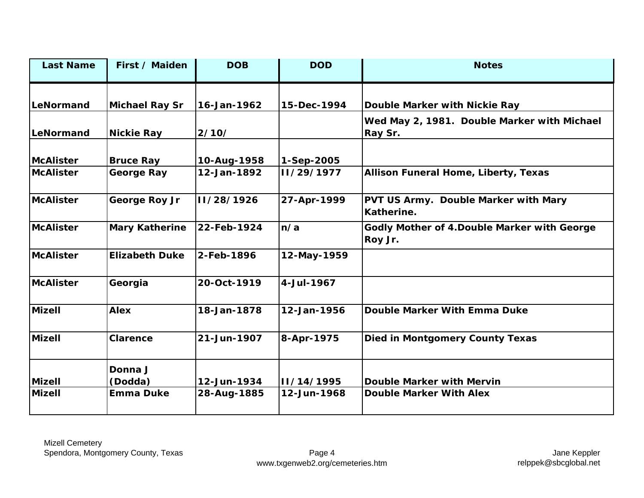| First / Maiden        | <b>DOB</b>    | <b>DOD</b>  | <b>Notes</b>                                            |
|-----------------------|---------------|-------------|---------------------------------------------------------|
| <b>Michael Ray Sr</b> | 16-Jan-1962   | 15-Dec-1994 | Double Marker with Nickie Ray                           |
| <b>Nickie Ray</b>     | 2/10/         |             | Wed May 2, 1981. Double Marker with Michael<br>Ray Sr.  |
| <b>Bruce Ray</b>      | 10-Aug-1958   | 1-Sep-2005  |                                                         |
| <b>George Ray</b>     | 12-Jan-1892   | 11/29/1977  | Allison Funeral Home, Liberty, Texas                    |
| George Roy Jr         | II/28/1926    | 27-Apr-1999 | PVT US Army. Double Marker with Mary<br>Katherine.      |
| <b>Mary Katherine</b> | 22-Feb-1924   | n/a         | Godly Mother of 4. Double Marker with George<br>Roy Jr. |
| <b>Elizabeth Duke</b> | $2$ -Feb-1896 | 12-May-1959 |                                                         |
| Georgia               | 20-Oct-1919   | 4-Jul-1967  |                                                         |
| <b>Alex</b>           | 18-Jan-1878   | 12-Jan-1956 | <b>Double Marker With Emma Duke</b>                     |
| <b>Clarence</b>       | 21-Jun-1907   | 8-Apr-1975  | <b>Died in Montgomery County Texas</b>                  |
| Donna J               |               |             | <b>Double Marker with Mervin</b>                        |
| <b>Emma Duke</b>      | 28-Aug-1885   | 12-Jun-1968 | <b>Double Marker With Alex</b>                          |
|                       | (Dodda)       | 12-Jun-1934 | II/14/1995                                              |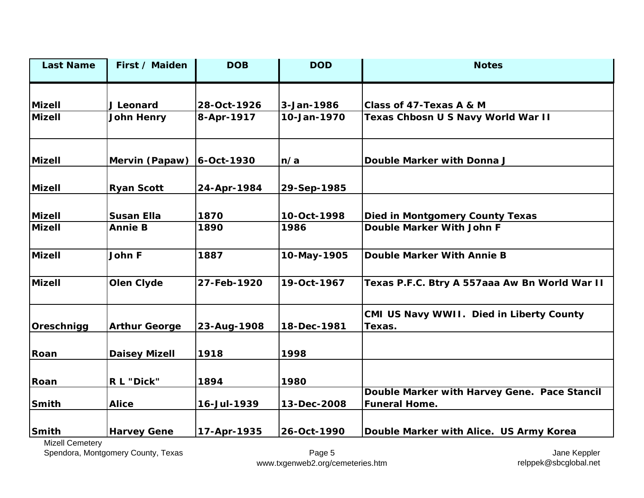| <b>Last Name</b> | First / Maiden       | <b>DOB</b>  | <b>DOD</b>  | <b>Notes</b>                                                         |
|------------------|----------------------|-------------|-------------|----------------------------------------------------------------------|
| <b>Mizell</b>    | J Leonard            | 28-Oct-1926 | 3-Jan-1986  | Class of 47-Texas A & M                                              |
| <b>Mizell</b>    | <b>John Henry</b>    | 8-Apr-1917  | 10-Jan-1970 | Texas Chbosn U S Navy World War II                                   |
| <b>Mizell</b>    | Mervin (Papaw)       | 6-Oct-1930  | n/a         | Double Marker with Donna J                                           |
| Mizell           | <b>Ryan Scott</b>    | 24-Apr-1984 | 29-Sep-1985 |                                                                      |
| <b>Mizell</b>    | <b>Susan Ella</b>    | 1870        | 10-Oct-1998 | <b>Died in Montgomery County Texas</b>                               |
| <b>Mizell</b>    | <b>Annie B</b>       | 1890        | 1986        | Double Marker With John F                                            |
| <b>Mizell</b>    | John F               | 1887        | 10-May-1905 | Double Marker With Annie B                                           |
| <b>Mizell</b>    | Olen Clyde           | 27-Feb-1920 | 19-Oct-1967 | Texas P.F.C. Btry A 557aaa Aw Bn World War II                        |
| Oreschnigg       | <b>Arthur George</b> | 23-Aug-1908 | 18-Dec-1981 | CMI US Navy WWII. Died in Liberty County<br>Texas.                   |
| Roan             | <b>Daisey Mizell</b> | 1918        | 1998        |                                                                      |
| Roan             | R L "Dick"           | 1894        | 1980        |                                                                      |
| Smith            | <b>Alice</b>         | 16-Jul-1939 | 13-Dec-2008 | Double Marker with Harvey Gene. Pace Stancil<br><b>Funeral Home.</b> |
| <b>Smith</b>     | <b>Harvey Gene</b>   | 17-Apr-1935 | 26-Oct-1990 | Double Marker with Alice. US Army Korea                              |

Mizell Cemetery

Spendora, Montgomery County, Texas Page 5